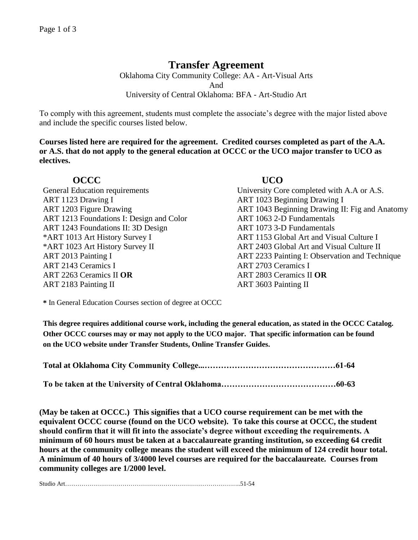# **Transfer Agreement**

Oklahoma City Community College: AA - Art-Visual Arts And University of Central Oklahoma: BFA - Art-Studio Art

To comply with this agreement, students must complete the associate's degree with the major listed above and include the specific courses listed below.

**Courses listed here are required for the agreement. Credited courses completed as part of the A.A. or A.S. that do not apply to the general education at OCCC or the UCO major transfer to UCO as electives.**

## **OCCC UCO**

ART 1123 Drawing I ART 1023 Beginning Drawing I ART 1213 Foundations I: Design and Color ART 1063 2-D Fundamentals ART 1243 Foundations II: 3D Design ART 1073 3-D Fundamentals \*ART 1013 Art History Survey I ART 1153 Global Art and Visual Culture I \*ART 1023 Art History Survey II ART 2013 Painting I ART 2143 Ceramics I ART 2703 Ceramics I ART 2263 Ceramics II **OR** ART 2803 Ceramics II **OR** ART 2183 Painting II ART 3603 Painting II

General Education requirements University Core completed with A.A or A.S. ART 1203 Figure Drawing **ART 1043 Beginning Drawing II: Fig and Anatomy** ART 2403 Global Art and Visual Culture II ART 2233 Painting I: Observation and Technique

**\*** In General Education Courses section of degree at OCCC

**This degree requires additional course work, including the general education, as stated in the OCCC Catalog. Other OCCC courses may or may not apply to the UCO major. That specific information can be found on the UCO website under Transfer Students, Online Transfer Guides.** 

|--|--|

**To be taken at the University of Central Oklahoma……………………………………60-63**

**(May be taken at OCCC.) This signifies that a UCO course requirement can be met with the equivalent OCCC course (found on the UCO website). To take this course at OCCC, the student should confirm that it will fit into the associate's degree without exceeding the requirements. A minimum of 60 hours must be taken at a baccalaureate granting institution, so exceeding 64 credit hours at the community college means the student will exceed the minimum of 124 credit hour total. A minimum of 40 hours of 3/4000 level courses are required for the baccalaureate. Courses from community colleges are 1/2000 level.**

Studio Art…………………………………………………………………………..51-54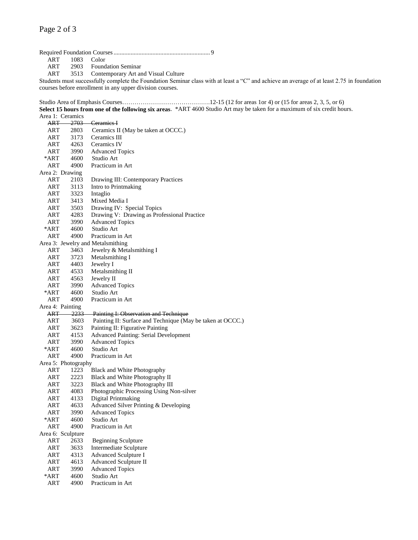# Required Foundation Courses.............................................................. 9

ART 1083 Color<br>ART 2903 Found

2903 Foundation Seminar

ART 3513 Contemporary Art and Visual Culture

Students must successfully complete the Foundation Seminar class with at least a "C" and achieve an average of at least 2.75 in foundation courses before enrollment in any upper division courses.

Studio Area of Emphasis Courses…………………………………….12-15 (12 for areas 1or 4) or (15 for areas 2, 3, 5, or 6) **Select 15 hours from one of the following six areas**. \*ART 4600 Studio Art may be taken for a maximum of six credit hours.

|      | Area 1: Ceramics    |                                                            |
|------|---------------------|------------------------------------------------------------|
|      |                     | ART 2703 Ceramics I                                        |
| ART  | 2803                | Ceramics II (May be taken at OCCC.)                        |
| ART  | 3173                | Ceramics III                                               |
| ART  | 4263                | Ceramics IV                                                |
| ART  | 3990                | <b>Advanced Topics</b>                                     |
| *ART | 4600                | Studio Art                                                 |
| ART  | 4900                | Practicum in Art                                           |
|      | Area 2: Drawing     |                                                            |
| ART  | 2103                | Drawing III: Contemporary Practices                        |
| ART  | 3113                | Intro to Printmaking                                       |
| ART  | 3323                | Intaglio                                                   |
| ART  | 3413                | Mixed Media I                                              |
| ART  | 3503                | Drawing IV: Special Topics                                 |
| ART  | 4283                | Drawing V: Drawing as Professional Practice                |
| ART  | 3990                | <b>Advanced Topics</b>                                     |
| *ART | 4600                | Studio Art                                                 |
| ART  | 4900                | Practicum in Art                                           |
|      |                     | Area 3: Jewelry and Metalsmithing                          |
| ART  | 3463                | Jewelry & Metalsmithing I                                  |
| ART  | 3723                | Metalsmithing I                                            |
| ART  | 4403                | Jewelry I                                                  |
| ART  | 4533                | Metalsmithing II                                           |
| ART  | 4563                | Jewelry II                                                 |
| ART  | 3990                | <b>Advanced Topics</b>                                     |
| *ART | 4600                | Studio Art                                                 |
| ART  | 4900                | Practicum in Art                                           |
|      | Area 4: Painting    |                                                            |
| ART  | -2233-              | Painting I: Observation and Technique                      |
| ART  | 3603                | Painting II: Surface and Technique (May be taken at OCCC.) |
| ART  | 3623                | Painting II: Figurative Painting                           |
| ART  | 4153                | <b>Advanced Painting: Serial Development</b>               |
| ART  | 3990                | <b>Advanced Topics</b>                                     |
| *ART | 4600                | Studio Art                                                 |
| ART  | 4900                | Practicum in Art                                           |
|      | Area 5: Photography |                                                            |
| ART  | 1223                | Black and White Photography                                |
| ART  | 2223                | Black and White Photography II                             |
| ART  | 3223                | Black and White Photography III                            |
| ART  | 4083                | Photographic Processing Using Non-silver                   |
| ART  | 4133                | <b>Digital Printmaking</b>                                 |
| ART  | 4633                | Advanced Silver Printing & Developing                      |
| ART  | 3990                | <b>Advanced Topics</b>                                     |
| *ART | 4600                | Studio Art                                                 |
| ART  | 4900                | Practicum in Art                                           |
|      | Area 6: Sculpture   |                                                            |
| ART  | 2633                | <b>Beginning Sculpture</b>                                 |
| ART  | 3633                | Intermediate Sculpture                                     |
| ART  | 4313                | <b>Advanced Sculpture I</b>                                |
| ART  | 4613                | <b>Advanced Sculpture II</b>                               |
| ART  | 3990                | <b>Advanced Topics</b>                                     |
| *ART | 4600                | Studio Art                                                 |
| ART  | 4900                | Practicum in Art                                           |